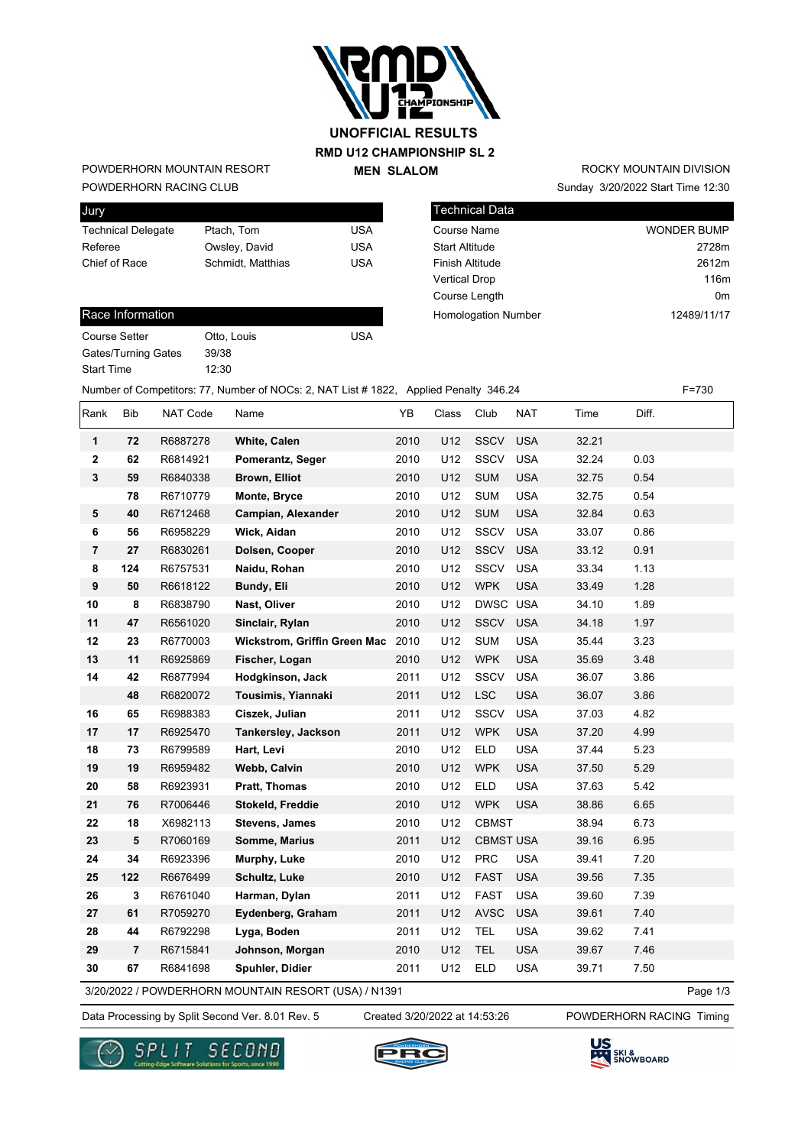

## **RMD U12 CHAMPIONSHIP SL 2 MEN SLALOM UNOFFICIAL RESULTS**

### POWDERHORN RACING CLUB POWDERHORN MOUNTAIN RESORT

| Ptach, Tom        | USA |
|-------------------|-----|
| Owsley, David     | USA |
| Schmidt, Matthias | USA |
|                   |     |

## Sunday 3/20/2022 Start Time 12:30 ROCKY MOUNTAIN DIVISION

| Technical Data             |                    |
|----------------------------|--------------------|
| <b>Course Name</b>         | <b>WONDER BUMP</b> |
| <b>Start Altitude</b>      | 2728m              |
| <b>Finish Altitude</b>     | 2612m              |
| <b>Vertical Drop</b>       | 116m               |
| Course Length              | 0 <sub>m</sub>     |
| <b>Homologation Number</b> | 12489/11/17        |

### Race Information

| Course Setter              |
|----------------------------|
| <b>Gates/Turning Gates</b> |
| <b>Start Time</b>          |

39/38 12:30

Number of Competitors: 77, Number of NOCs: 2, NAT List # 1822, Applied Penalty 346.24 F=730

Otto, Louis **USA** 

| Rank                    | <b>Bib</b>     | NAT Code | Name                                | YB   | Class | Club             | <b>NAT</b> | Time  | Diff. |
|-------------------------|----------------|----------|-------------------------------------|------|-------|------------------|------------|-------|-------|
| 1                       | 72             | R6887278 | White, Calen                        | 2010 | U12   | <b>SSCV</b>      | <b>USA</b> | 32.21 |       |
| $\overline{\mathbf{2}}$ | 62             | R6814921 | Pomerantz, Seger                    | 2010 | U12   | SSCV             | <b>USA</b> | 32.24 | 0.03  |
| 3                       | 59             | R6840338 | Brown, Elliot                       | 2010 | U12   | <b>SUM</b>       | <b>USA</b> | 32.75 | 0.54  |
|                         | 78             | R6710779 | Monte, Bryce                        | 2010 | U12   | <b>SUM</b>       | <b>USA</b> | 32.75 | 0.54  |
| 5                       | 40             | R6712468 | Campian, Alexander                  | 2010 | U12   | <b>SUM</b>       | <b>USA</b> | 32.84 | 0.63  |
| 6                       | 56             | R6958229 | Wick, Aidan                         | 2010 | U12   | <b>SSCV</b>      | <b>USA</b> | 33.07 | 0.86  |
| $\overline{\mathbf{r}}$ | 27             | R6830261 | Dolsen, Cooper                      | 2010 | U12   | SSCV             | <b>USA</b> | 33.12 | 0.91  |
| 8                       | 124            | R6757531 | Naidu, Rohan                        | 2010 | U12   | SSCV             | <b>USA</b> | 33.34 | 1.13  |
| 9                       | 50             | R6618122 | Bundy, Eli                          | 2010 | U12   | <b>WPK</b>       | <b>USA</b> | 33.49 | 1.28  |
| 10                      | 8              | R6838790 | Nast, Oliver                        | 2010 | U12   | DWSC USA         |            | 34.10 | 1.89  |
| 11                      | 47             | R6561020 | Sinclair, Rylan                     | 2010 | U12   | <b>SSCV</b>      | <b>USA</b> | 34.18 | 1.97  |
| 12                      | 23             | R6770003 | <b>Wickstrom, Griffin Green Mac</b> | 2010 | U12   | <b>SUM</b>       | <b>USA</b> | 35.44 | 3.23  |
| 13                      | 11             | R6925869 | Fischer, Logan                      | 2010 | U12   | <b>WPK</b>       | <b>USA</b> | 35.69 | 3.48  |
| 14                      | 42             | R6877994 | Hodgkinson, Jack                    | 2011 | U12   | SSCV             | <b>USA</b> | 36.07 | 3.86  |
|                         | 48             | R6820072 | Tousimis, Yiannaki                  | 2011 | U12   | <b>LSC</b>       | <b>USA</b> | 36.07 | 3.86  |
| 16                      | 65             | R6988383 | Ciszek, Julian                      | 2011 | U12   | <b>SSCV</b>      | <b>USA</b> | 37.03 | 4.82  |
| 17                      | 17             | R6925470 | Tankersley, Jackson                 | 2011 | U12   | <b>WPK</b>       | <b>USA</b> | 37.20 | 4.99  |
| 18                      | 73             | R6799589 | Hart, Levi                          | 2010 | U12   | <b>ELD</b>       | <b>USA</b> | 37.44 | 5.23  |
| 19                      | 19             | R6959482 | Webb, Calvin                        | 2010 | U12   | <b>WPK</b>       | <b>USA</b> | 37.50 | 5.29  |
| 20                      | 58             | R6923931 | <b>Pratt, Thomas</b>                | 2010 | U12   | <b>ELD</b>       | <b>USA</b> | 37.63 | 5.42  |
| 21                      | 76             | R7006446 | Stokeld, Freddie                    | 2010 | U12   | <b>WPK</b>       | <b>USA</b> | 38.86 | 6.65  |
| 22                      | 18             | X6982113 | Stevens, James                      | 2010 | U12   | <b>CBMST</b>     |            | 38.94 | 6.73  |
| 23                      | 5              | R7060169 | Somme, Marius                       | 2011 | U12   | <b>CBMST USA</b> |            | 39.16 | 6.95  |
| 24                      | 34             | R6923396 | Murphy, Luke                        | 2010 | U12   | <b>PRC</b>       | <b>USA</b> | 39.41 | 7.20  |
| 25                      | 122            | R6676499 | Schultz, Luke                       | 2010 | U12   | <b>FAST</b>      | <b>USA</b> | 39.56 | 7.35  |
| 26                      | 3              | R6761040 | Harman, Dylan                       | 2011 | U12   | <b>FAST</b>      | <b>USA</b> | 39.60 | 7.39  |
| 27                      | 61             | R7059270 | Eydenberg, Graham                   | 2011 | U12   | <b>AVSC</b>      | <b>USA</b> | 39.61 | 7.40  |
| 28                      | 44             | R6792298 | Lyga, Boden                         | 2011 | U12   | <b>TEL</b>       | <b>USA</b> | 39.62 | 7.41  |
| 29                      | $\overline{7}$ | R6715841 | Johnson, Morgan                     | 2010 | U12   | <b>TEL</b>       | <b>USA</b> | 39.67 | 7.46  |
| 30                      | 67             | R6841698 | Spuhler, Didier                     | 2011 | U12   | <b>ELD</b>       | <b>USA</b> | 39.71 | 7.50  |

3/20/2022 / POWDERHORN MOUNTAIN RESORT (USA) / N1391

Page 1/3

Data Processing by Split Second Ver. 8.01 Rev. 5 Created 3/20/2022 at 14:53:26 POWDERHORN RACING Timing

Created 3/20/2022 at 14:53:26





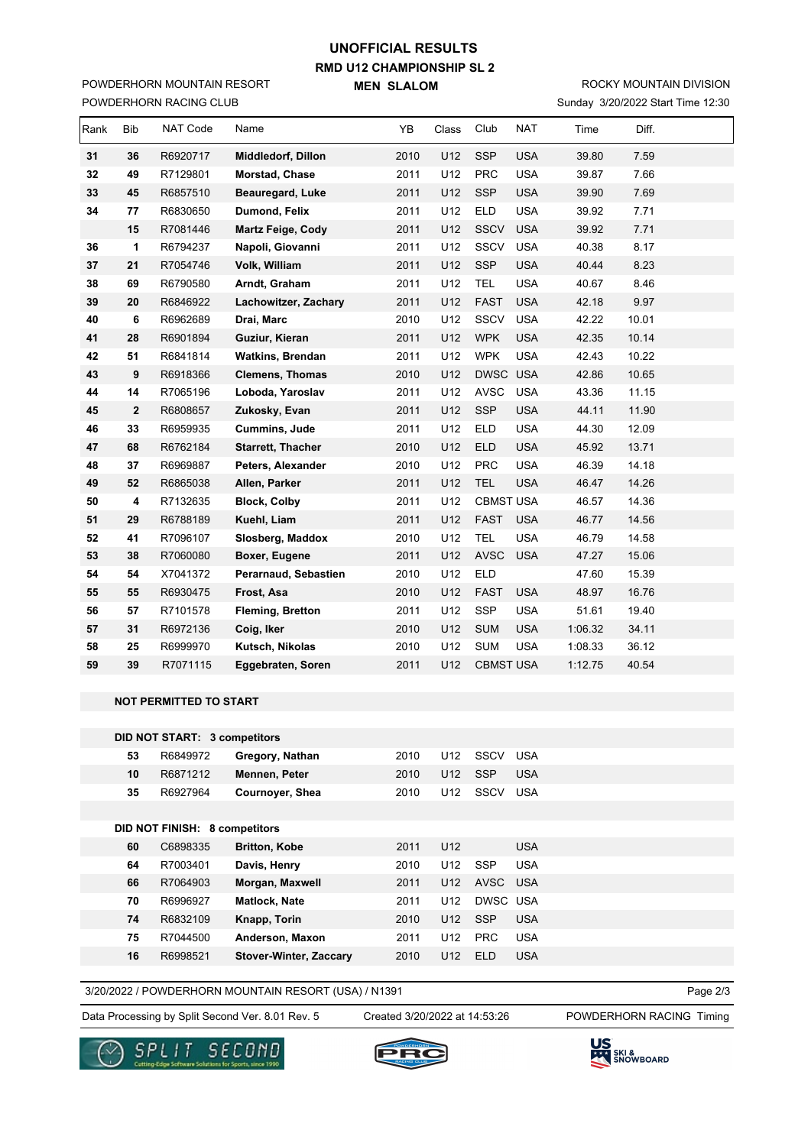# **RMD U12 CHAMPIONSHIP SL 2 MEN SLALOM UNOFFICIAL RESULTS**

POWDERHORN RACING CLUB POWDERHORN MOUNTAIN RESORT

### Sunday 3/20/2022 Start Time 12:30 ROCKY MOUNTAIN DIVISION

|      | <b>OWDER TORY TV TOILLO OLDE</b> |          |                          |      |       |                  |            |         | OILOILOLE Otalit Time 12.00 |  |
|------|----------------------------------|----------|--------------------------|------|-------|------------------|------------|---------|-----------------------------|--|
| Rank | <b>Bib</b>                       | NAT Code | Name                     | YB   | Class | Club             | <b>NAT</b> | Time    | Diff.                       |  |
| 31   | 36                               | R6920717 | Middledorf, Dillon       | 2010 | U12   | <b>SSP</b>       | <b>USA</b> | 39.80   | 7.59                        |  |
| 32   | 49                               | R7129801 | Morstad, Chase           | 2011 | U12   | <b>PRC</b>       | <b>USA</b> | 39.87   | 7.66                        |  |
| 33   | 45                               | R6857510 | Beauregard, Luke         | 2011 | U12   | <b>SSP</b>       | <b>USA</b> | 39.90   | 7.69                        |  |
| 34   | 77                               | R6830650 | Dumond, Felix            | 2011 | U12   | <b>ELD</b>       | <b>USA</b> | 39.92   | 7.71                        |  |
|      | 15                               | R7081446 | <b>Martz Feige, Cody</b> | 2011 | U12   | <b>SSCV</b>      | <b>USA</b> | 39.92   | 7.71                        |  |
| 36   | 1                                | R6794237 | Napoli, Giovanni         | 2011 | U12   | <b>SSCV</b>      | <b>USA</b> | 40.38   | 8.17                        |  |
| 37   | 21                               | R7054746 | Volk, William            | 2011 | U12   | <b>SSP</b>       | <b>USA</b> | 40.44   | 8.23                        |  |
| 38   | 69                               | R6790580 | Arndt, Graham            | 2011 | U12   | TEL              | <b>USA</b> | 40.67   | 8.46                        |  |
| 39   | 20                               | R6846922 | Lachowitzer, Zachary     | 2011 | U12   | <b>FAST</b>      | <b>USA</b> | 42.18   | 9.97                        |  |
| 40   | 6                                | R6962689 | Drai, Marc               | 2010 | U12   | <b>SSCV</b>      | <b>USA</b> | 42.22   | 10.01                       |  |
| 41   | 28                               | R6901894 | Guziur, Kieran           | 2011 | U12   | <b>WPK</b>       | <b>USA</b> | 42.35   | 10.14                       |  |
| 42   | 51                               | R6841814 | <b>Watkins, Brendan</b>  | 2011 | U12   | <b>WPK</b>       | <b>USA</b> | 42.43   | 10.22                       |  |
| 43   | 9                                | R6918366 | <b>Clemens, Thomas</b>   | 2010 | U12   | DWSC USA         |            | 42.86   | 10.65                       |  |
| 44   | 14                               | R7065196 | Loboda, Yaroslav         | 2011 | U12   | <b>AVSC</b>      | <b>USA</b> | 43.36   | 11.15                       |  |
| 45   | $\mathbf 2$                      | R6808657 | Zukosky, Evan            | 2011 | U12   | <b>SSP</b>       | <b>USA</b> | 44.11   | 11.90                       |  |
| 46   | 33                               | R6959935 | <b>Cummins, Jude</b>     | 2011 | U12   | <b>ELD</b>       | <b>USA</b> | 44.30   | 12.09                       |  |
| 47   | 68                               | R6762184 | <b>Starrett, Thacher</b> | 2010 | U12   | <b>ELD</b>       | <b>USA</b> | 45.92   | 13.71                       |  |
| 48   | 37                               | R6969887 | Peters, Alexander        | 2010 | U12   | <b>PRC</b>       | <b>USA</b> | 46.39   | 14.18                       |  |
| 49   | 52                               | R6865038 | Allen, Parker            | 2011 | U12   | <b>TEL</b>       | <b>USA</b> | 46.47   | 14.26                       |  |
| 50   | 4                                | R7132635 | <b>Block, Colby</b>      | 2011 | U12   | <b>CBMST USA</b> |            | 46.57   | 14.36                       |  |
| 51   | 29                               | R6788189 | Kuehl, Liam              | 2011 | U12   | <b>FAST</b>      | <b>USA</b> | 46.77   | 14.56                       |  |
| 52   | 41                               | R7096107 | Slosberg, Maddox         | 2010 | U12   | <b>TEL</b>       | <b>USA</b> | 46.79   | 14.58                       |  |
| 53   | 38                               | R7060080 | Boxer, Eugene            | 2011 | U12   | <b>AVSC</b>      | <b>USA</b> | 47.27   | 15.06                       |  |
| 54   | 54                               | X7041372 | Perarnaud, Sebastien     | 2010 | U12   | <b>ELD</b>       |            | 47.60   | 15.39                       |  |
| 55   | 55                               | R6930475 | Frost, Asa               | 2010 | U12   | <b>FAST</b>      | <b>USA</b> | 48.97   | 16.76                       |  |
| 56   | 57                               | R7101578 | <b>Fleming, Bretton</b>  | 2011 | U12   | <b>SSP</b>       | <b>USA</b> | 51.61   | 19.40                       |  |
| 57   | 31                               | R6972136 | Coig, Iker               | 2010 | U12   | <b>SUM</b>       | <b>USA</b> | 1:06.32 | 34.11                       |  |
| 58   | 25                               | R6999970 | Kutsch, Nikolas          | 2010 | U12   | <b>SUM</b>       | <b>USA</b> | 1:08.33 | 36.12                       |  |
| 59   | 39                               | R7071115 | Eggebraten, Soren        | 2011 | U12   | <b>CBMST USA</b> |            | 1:12.75 | 40.54                       |  |

#### **NOT PERMITTED TO START**

|    | <b>DID NOT START: 3 competitors</b>  |                               |      |                 |             |            |
|----|--------------------------------------|-------------------------------|------|-----------------|-------------|------------|
| 53 | R6849972                             | Gregory, Nathan               | 2010 | U12             | <b>SSCV</b> | <b>USA</b> |
| 10 | R6871212                             | Mennen, Peter                 | 2010 | U12             | <b>SSP</b>  | <b>USA</b> |
| 35 | R6927964                             | Cournoyer, Shea               | 2010 | U12             | <b>SSCV</b> | <b>USA</b> |
|    |                                      |                               |      |                 |             |            |
|    | <b>DID NOT FINISH: 8 competitors</b> |                               |      |                 |             |            |
| 60 | C6898335                             | <b>Britton, Kobe</b>          | 2011 | U <sub>12</sub> |             | <b>USA</b> |
| 64 | R7003401                             | Davis, Henry                  | 2010 | U12             | <b>SSP</b>  | <b>USA</b> |
| 66 | R7064903                             | Morgan, Maxwell               | 2011 | U12             | AVSC USA    |            |
| 70 | R6996927                             | <b>Matlock, Nate</b>          | 2011 | U12             | DWSC USA    |            |
| 74 | R6832109                             | Knapp, Torin                  | 2010 | U12             | <b>SSP</b>  | <b>USA</b> |
| 75 | R7044500                             | Anderson, Maxon               | 2011 | U12             | <b>PRC</b>  | <b>USA</b> |
| 16 | R6998521                             | <b>Stover-Winter, Zaccary</b> | 2010 | U12             | ELD.        | <b>USA</b> |

3/20/2022 / POWDERHORN MOUNTAIN RESORT (USA) / N1391

Data Processing by Split Second Ver. 8.01 Rev. 5 Created 3/20/2022 at 14:53:26 POWDERHORN RACING Timing

Created 3/20/2022 at 14:53:26

Page 2/3